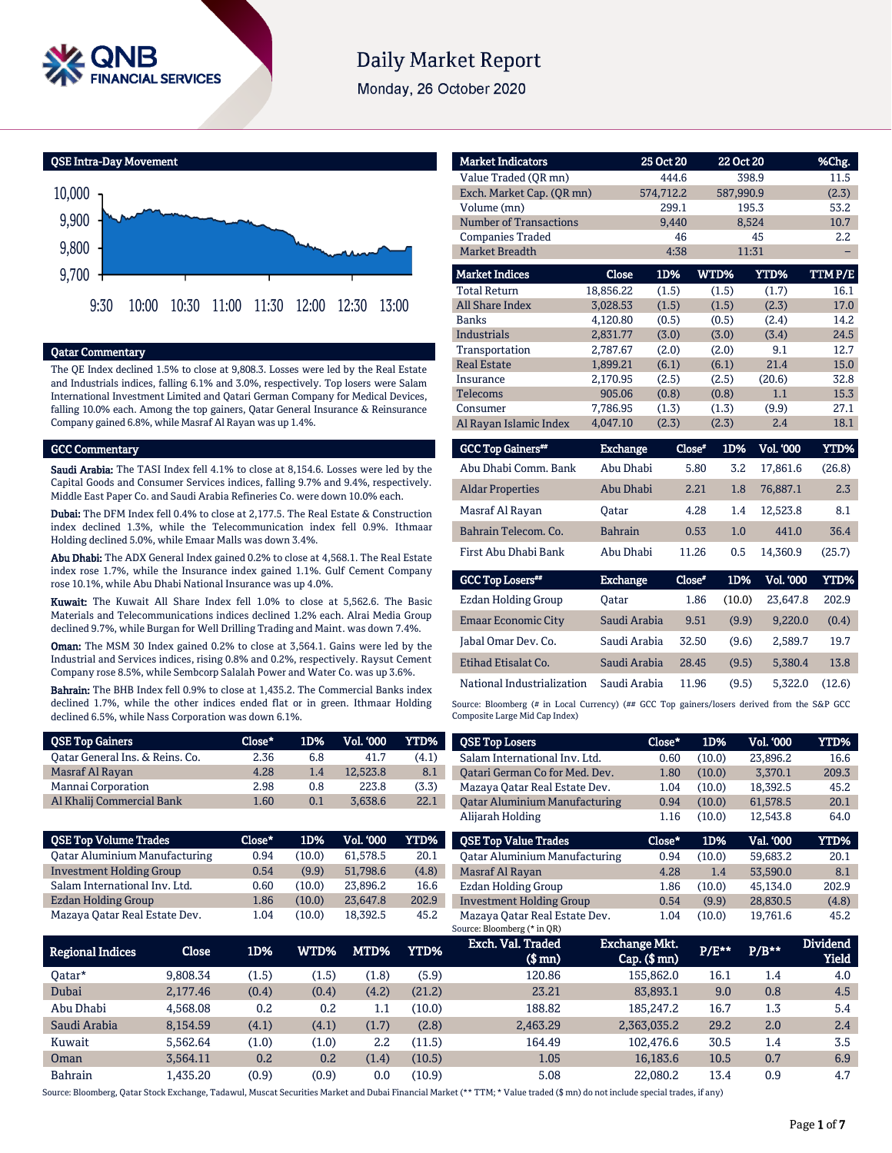

# **Daily Market Report**

Monday, 26 October 2020

QSE Intra-Day Movement



## Qatar Commentary

The QE Index declined 1.5% to close at 9,808.3. Losses were led by the Real Estate and Industrials indices, falling 6.1% and 3.0%, respectively. Top losers were Salam International Investment Limited and Qatari German Company for Medical Devices, falling 10.0% each. Among the top gainers, Qatar General Insurance & Reinsurance Company gained 6.8%, while Masraf Al Rayan was up 1.4%.

### GCC Commentary

Saudi Arabia: The TASI Index fell 4.1% to close at 8,154.6. Losses were led by the Capital Goods and Consumer Services indices, falling 9.7% and 9.4%, respectively. Middle East Paper Co. and Saudi Arabia Refineries Co. were down 10.0% each.

Dubai: The DFM Index fell 0.4% to close at 2,177.5. The Real Estate & Construction index declined 1.3%, while the Telecommunication index fell 0.9%. Ithmaar Holding declined 5.0%, while Emaar Malls was down 3.4%.

Abu Dhabi: The ADX General Index gained 0.2% to close at 4,568.1. The Real Estate index rose 1.7%, while the Insurance index gained 1.1%. Gulf Cement Company rose 10.1%, while Abu Dhabi National Insurance was up 4.0%.

Kuwait: The Kuwait All Share Index fell 1.0% to close at 5,562.6. The Basic Materials and Telecommunications indices declined 1.2% each. Alrai Media Group declined 9.7%, while Burgan for Well Drilling Trading and Maint. was down 7.4%.

Oman: The MSM 30 Index gained 0.2% to close at 3,564.1. Gains were led by the Industrial and Services indices, rising 0.8% and 0.2%, respectively. Raysut Cement Company rose 8.5%, while Sembcorp Salalah Power and Water Co. was up 3.6%.

Bahrain: The BHB Index fell 0.9% to close at 1,435.2. The Commercial Banks index declined 1.7%, while the other indices ended flat or in green. Ithmaar Holding declined 6.5%, while Nass Corporation was down 6.1%.

| $Close*$ | 1D% | Vol. '000 | YTD%  |
|----------|-----|-----------|-------|
| 2.36     | 6.8 | 41.7      | (4.1) |
| 4.28     | 1.4 | 12.523.8  | 8.1   |
| 2.98     | 0.8 | 223.8     | (3.3) |
| 1.60     | 0.1 | 3.638.6   | 22.1  |
|          |     |           |       |

| Close* | 1D%    | Vol. '000 | YTD%  |
|--------|--------|-----------|-------|
| 0.94   | (10.0) | 61.578.5  | 20.1  |
| 0.54   | (9.9)  | 51.798.6  | (4.8) |
| 0.60   | (10.0) | 23.896.2  | 16.6  |
| 1.86   | (10.0) | 23,647.8  | 202.9 |
| 1.04   | (10.0) | 18.392.5  | 45.2  |
|        |        |           |       |

| <b>Market Indicators</b>      |                 | 25 Oct 20 |        | 22 Oct 20 |             | %Chg.   |
|-------------------------------|-----------------|-----------|--------|-----------|-------------|---------|
| Value Traded (QR mn)          |                 | 444.6     |        | 398.9     |             | 11.5    |
| Exch. Market Cap. (QR mn)     |                 | 574,712.2 |        | 587,990.9 |             | (2.3)   |
| Volume (mn)                   |                 | 299.1     |        | 195.3     |             | 53.2    |
| <b>Number of Transactions</b> |                 | 9,440     |        | 8,524     |             | 10.7    |
| <b>Companies Traded</b>       |                 | 46        |        |           | 45          | 2.2     |
| <b>Market Breadth</b>         |                 | 4:38      |        | 11:31     |             |         |
| <b>Market Indices</b>         | <b>Close</b>    | 1D%       | WTD%   |           | <b>YTD%</b> | TTM P/E |
| <b>Total Return</b>           | 18,856.22       | (1.5)     | (1.5)  |           | (1.7)       | 16.1    |
| <b>All Share Index</b>        | 3,028.53        | (1.5)     | (1.5)  |           | (2.3)       | 17.0    |
| <b>Banks</b>                  | 4,120.80        | (0.5)     | (0.5)  |           | (2.4)       | 14.2    |
| <b>Industrials</b>            | 2,831.77        | (3.0)     | (3.0)  |           | (3.4)       | 24.5    |
| Transportation                | 2,787.67        | (2.0)     | (2.0)  |           | 9.1         | 12.7    |
| <b>Real Estate</b>            | 1,899.21        | (6.1)     | (6.1)  |           | 21.4        | 15.0    |
| Insurance                     | 2,170.95        | (2.5)     | (2.5)  |           | (20.6)      | 32.8    |
| <b>Telecoms</b>               | 905.06          | (0.8)     | (0.8)  |           | 1.1         | 15.3    |
| Consumer                      | 7,786.95        | (1.3)     | (1.3)  |           | (9.9)       | 27.1    |
| Al Rayan Islamic Index        | 4,047.10        | (2.3)     | (2.3)  |           | 2.4         | 18.1    |
| <b>GCC Top Gainers**</b>      | <b>Exchange</b> |           | Close* | 1D%       | Vol. '000   | YTD%    |
| Abu Dhabi Comm. Bank          | Abu Dhabi       |           | 5.80   | 3.2       | 17,861.6    | (26.8)  |
| <b>Aldar Properties</b>       | Abu Dhabi       |           | 2.21   | 1.8       | 76,887.1    | 2.3     |
| Masraf Al Rayan               | Oatar           |           | 4.28   | 1.4       | 12,523.8    | 8.1     |

National Industrialization Saudi Arabia 11.96 (9.5) 5,322.0 (12.6) Source: Bloomberg (# in Local Currency) (## GCC Top gainers/losers derived from the S&P GCC Composite Large Mid Cap Index)

Bahrain Telecom. Co. Bahrain 0.53 1.0 441.0 36.4 First Abu Dhabi Bank Abu Dhabi 11.26 0.5 14,360.9 (25.7)

Exchange Close#

Ezdan Holding Group Qatar 1.86 (10.0) 23,647.8 202.9 Emaar Economic City Saudi Arabia 9.51 (9.9) 9,220.0 (0.4) Jabal Omar Dev. Co. Saudi Arabia 32.50 (9.6) 2,589.7 19.7 Etihad Etisalat Co. Saudi Arabia 28.45 (9.5) 5,380.4 13.8

| <b>QSE Top Losers</b>                | Close* | 1D%    | <b>Vol. '000</b> | YTD%        |
|--------------------------------------|--------|--------|------------------|-------------|
| Salam International Inv. Ltd.        | 0.60   | (10.0) | 23.896.2         | 16.6        |
| Oatari German Co for Med. Dev.       | 1.80   | (10.0) | 3.370.1          | 209.3       |
| Mazaya Qatar Real Estate Dev.        | 1.04   | (10.0) | 18,392.5         | 45.2        |
| <b>Oatar Aluminium Manufacturing</b> | 0.94   | (10.0) | 61.578.5         | 20.1        |
| Alijarah Holding                     | 1.16   | (10.0) | 12.543.8         | 64.0        |
|                                      |        |        |                  |             |
| <b>OSE Top Value Trades</b>          | Close* | 1D%    | Val. '000        | <b>YTD%</b> |
| <b>Qatar Aluminium Manufacturing</b> | 0.94   | (10.0) | 59.683.2         | 20.1        |
| Masraf Al Rayan                      | 4.28   | 1.4    | 53.590.0         | 8.1         |
| Ezdan Holding Group                  | 1.86   | (10.0) | 45.134.0         | 202.9       |
| <b>Investment Holding Group</b>      | 0.54   | (9.9)  | 28.830.5         | (4.8)       |

| Regional Indices | Close    | 1D%   | WTD%  | MTD%' | YTD%   | Exch. Val. Traded<br>(\$ mn) | <b>Exchange Mkt.</b><br>$Cap.$ ( $$rm)$ ) | P/E** | $P/B***$ | <b>Dividend</b><br><b>Yield</b> |
|------------------|----------|-------|-------|-------|--------|------------------------------|-------------------------------------------|-------|----------|---------------------------------|
| 0atar*           | 9.808.34 | (1.5) | (1.5) | (1.8) | (5.9)  | 120.86                       | 155.862.0                                 | 16.1  | 1.4      | 4.0                             |
| Dubai            | 2.177.46 | (0.4) | (0.4) | (4.2) | (21.2) | 23.21                        | 83.893.1                                  | 9.0   | 0.8      | 4.5                             |
| Abu Dhabi        | 4.568.08 | 0.2   | 0.2   | 1.1   | (10.0) | 188.82                       | 185,247.2                                 | 16.7  | 1.3      | 5.4                             |
| Saudi Arabia     | 8,154.59 | (4.1) | (4.1) | (1.7) | (2.8)  | 2,463.29                     | 2,363,035.2                               | 29.2  | 2.0      | 2.4                             |
| Kuwait           | 5.562.64 | (1.0) | (1.0) | 2.2   | (11.5) | 164.49                       | 102.476.6                                 | 30.5  | 1.4      | 3.5                             |
| Oman             | 3.564.11 | 0.2   | 0.2   | (1.4) | (10.5) | 1.05                         | 16.183.6                                  | 10.5  | 0.7      | 6.9                             |
| <b>Bahrain</b>   | .435.20  | (0.9) | (0.9) | 0.0   | (10.9) | 5.08                         | 22.080.2                                  | 13.4  | 0.9      | 4.7                             |

GCC Top Losers\*\*

Source: Bloomberg, Qatar Stock Exchange, Tadawul, Muscat Securities Market and Dubai Financial Market (\*\* TTM; \* Value traded (\$ mn) do not include special trades, if any)

1D% Vol. '000 YTD%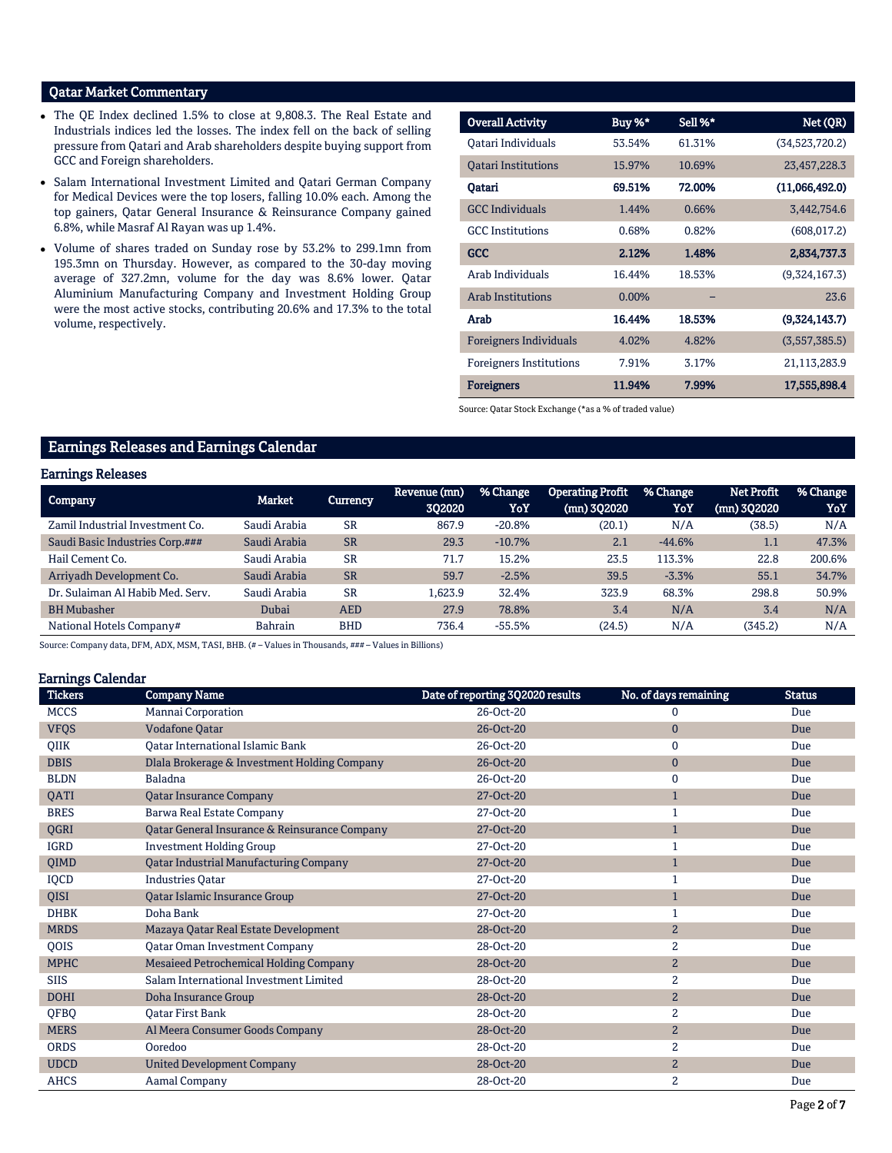# Qatar Market Commentary

- The QE Index declined 1.5% to close at 9,808.3. The Real Estate and Industrials indices led the losses. The index fell on the back of selling pressure from Qatari and Arab shareholders despite buying support from GCC and Foreign shareholders.
- Salam International Investment Limited and Qatari German Company for Medical Devices were the top losers, falling 10.0% each. Among the top gainers, Qatar General Insurance & Reinsurance Company gained 6.8%, while Masraf Al Rayan was up 1.4%.
- Volume of shares traded on Sunday rose by 53.2% to 299.1mn from 195.3mn on Thursday. However, as compared to the 30-day moving average of 327.2mn, volume for the day was 8.6% lower. Qatar Aluminium Manufacturing Company and Investment Holding Group were the most active stocks, contributing 20.6% and 17.3% to the total volume, respectively.

|                                |          | Sell %* | Net (QR)       |
|--------------------------------|----------|---------|----------------|
| <b>Overall Activity</b>        | Buy %*   |         |                |
| Oatari Individuals             | 53.54%   | 61.31%  | (34,523,720.2) |
| <b>Oatari Institutions</b>     | 15.97%   | 10.69%  | 23,457,228.3   |
| Qatari                         | 69.51%   | 72.00%  | (11,066,492.0) |
| <b>GCC</b> Individuals         | 1.44%    | 0.66%   | 3,442,754.6    |
| <b>GCC</b> Institutions        | 0.68%    | 0.82%   | (608, 017.2)   |
| <b>GCC</b>                     | 2.12%    | 1.48%   | 2,834,737.3    |
| Arab Individuals               | 16.44%   | 18.53%  | (9,324,167.3)  |
| <b>Arab Institutions</b>       | $0.00\%$ |         | 23.6           |
| Arab                           | 16.44%   | 18.53%  | (9,324,143.7)  |
| <b>Foreigners Individuals</b>  | 4.02%    | 4.82%   | (3,557,385.5)  |
| <b>Foreigners Institutions</b> | 7.91%    | 3.17%   | 21,113,283.9   |
| <b>Foreigners</b>              | 11.94%   | 7.99%   | 17,555,898.4   |

Source: Qatar Stock Exchange (\*as a % of traded value)

# Earnings Releases and Earnings Calendar

## Earnings Releases

| <b>Company</b>                   | Market         | Currency   | Revenue (mn)<br>302020 | % Change<br>YoY | <b>Operating Profit</b><br>(mn) 302020 | % Change<br>YoY | <b>Net Profit</b><br>$(mn)$ 302020 | % Change<br>YoY |
|----------------------------------|----------------|------------|------------------------|-----------------|----------------------------------------|-----------------|------------------------------------|-----------------|
| Zamil Industrial Investment Co.  | Saudi Arabia   | <b>SR</b>  | 867.9                  | $-20.8%$        | (20.1)                                 | N/A             | (38.5)                             | N/A             |
| Saudi Basic Industries Corp.###  | Saudi Arabia   | <b>SR</b>  | 29.3                   | $-10.7%$        | 2.1                                    | $-44.6%$        | 1.1                                | 47.3%           |
| Hail Cement Co.                  | Saudi Arabia   | <b>SR</b>  | 71.7                   | 15.2%           | 23.5                                   | 113.3%          | 22.8                               | 200.6%          |
| Arrivadh Development Co.         | Saudi Arabia   | <b>SR</b>  | 59.7                   | $-2.5%$         | 39.5                                   | $-3.3%$         | 55.1                               | 34.7%           |
| Dr. Sulaiman Al Habib Med. Serv. | Saudi Arabia   | <b>SR</b>  | 1.623.9                | 32.4%           | 323.9                                  | 68.3%           | 298.8                              | 50.9%           |
| <b>BH</b> Mubasher               | Dubai          | <b>AED</b> | 27.9                   | 78.8%           | 3.4                                    | N/A             | 3.4                                | N/A             |
| National Hotels Company#         | <b>Bahrain</b> | <b>BHD</b> | 736.4                  | $-55.5%$        | (24.5)                                 | N/A             | (345.2)                            | N/A             |

Source: Company data, DFM, ADX, MSM, TASI, BHB. (#-Values in Thousands, ###-Values in Billions)

## Earnings Calendar

| <b>Tickers</b> | <b>Company Name</b>                           | Date of reporting 3Q2020 results | No. of days remaining | <b>Status</b> |
|----------------|-----------------------------------------------|----------------------------------|-----------------------|---------------|
| <b>MCCS</b>    | Mannai Corporation                            | 26-Oct-20                        | 0                     | Due           |
| <b>VFQS</b>    | <b>Vodafone Qatar</b>                         | 26-Oct-20                        | $\mathbf{0}$          | Due           |
| QIIK           | Qatar International Islamic Bank              | 26-Oct-20                        | $\mathbf{0}$          | Due           |
| <b>DBIS</b>    | Dlala Brokerage & Investment Holding Company  | 26-Oct-20                        | $\mathbf{0}$          | Due           |
| <b>BLDN</b>    | Baladna                                       | 26-Oct-20                        | $\bf{0}$              | Due           |
| QATI           | <b>Qatar Insurance Company</b>                | 27-Oct-20                        | $\mathbf{1}$          | Due           |
| <b>BRES</b>    | Barwa Real Estate Company                     | 27-Oct-20                        | $\mathbf{1}$          | Due           |
| QGRI           | Qatar General Insurance & Reinsurance Company | 27-Oct-20                        | $\mathbf{1}$          | Due           |
| <b>IGRD</b>    | <b>Investment Holding Group</b>               | 27-Oct-20                        | $\mathbf{1}$          | Due           |
| QIMD           | <b>Qatar Industrial Manufacturing Company</b> | 27-Oct-20                        | $\mathbf{1}$          | Due           |
| IQCD           | <b>Industries Qatar</b>                       | 27-Oct-20                        | $\mathbf{1}$          | Due           |
| QISI           | Qatar Islamic Insurance Group                 | 27-Oct-20                        | $\mathbf{1}$          | Due           |
| <b>DHBK</b>    | Doha Bank                                     | 27-Oct-20                        | 1                     | Due           |
| <b>MRDS</b>    | Mazaya Qatar Real Estate Development          | 28-Oct-20                        | $\overline{2}$        | Due           |
| QOIS           | <b>Qatar Oman Investment Company</b>          | 28-Oct-20                        | $\overline{c}$        | Due           |
| <b>MPHC</b>    | Mesaieed Petrochemical Holding Company        | 28-Oct-20                        | $\overline{2}$        | Due           |
| <b>SIIS</b>    | Salam International Investment Limited        | 28-Oct-20                        | $\overline{c}$        | Due           |
| <b>DOHI</b>    | Doha Insurance Group                          | 28-Oct-20                        | $\mathbf{2}$          | Due           |
| QFBQ           | <b>Oatar First Bank</b>                       | 28-Oct-20                        | 2                     | Due           |
| <b>MERS</b>    | Al Meera Consumer Goods Company               | 28-Oct-20                        | $\overline{2}$        | Due           |
| <b>ORDS</b>    | Ooredoo                                       | 28-Oct-20                        | $\overline{2}$        | Due           |
| <b>UDCD</b>    | <b>United Development Company</b>             | 28-Oct-20                        | $\overline{2}$        | Due           |
| <b>AHCS</b>    | Aamal Company                                 | 28-Oct-20                        | $\overline{2}$        | Due           |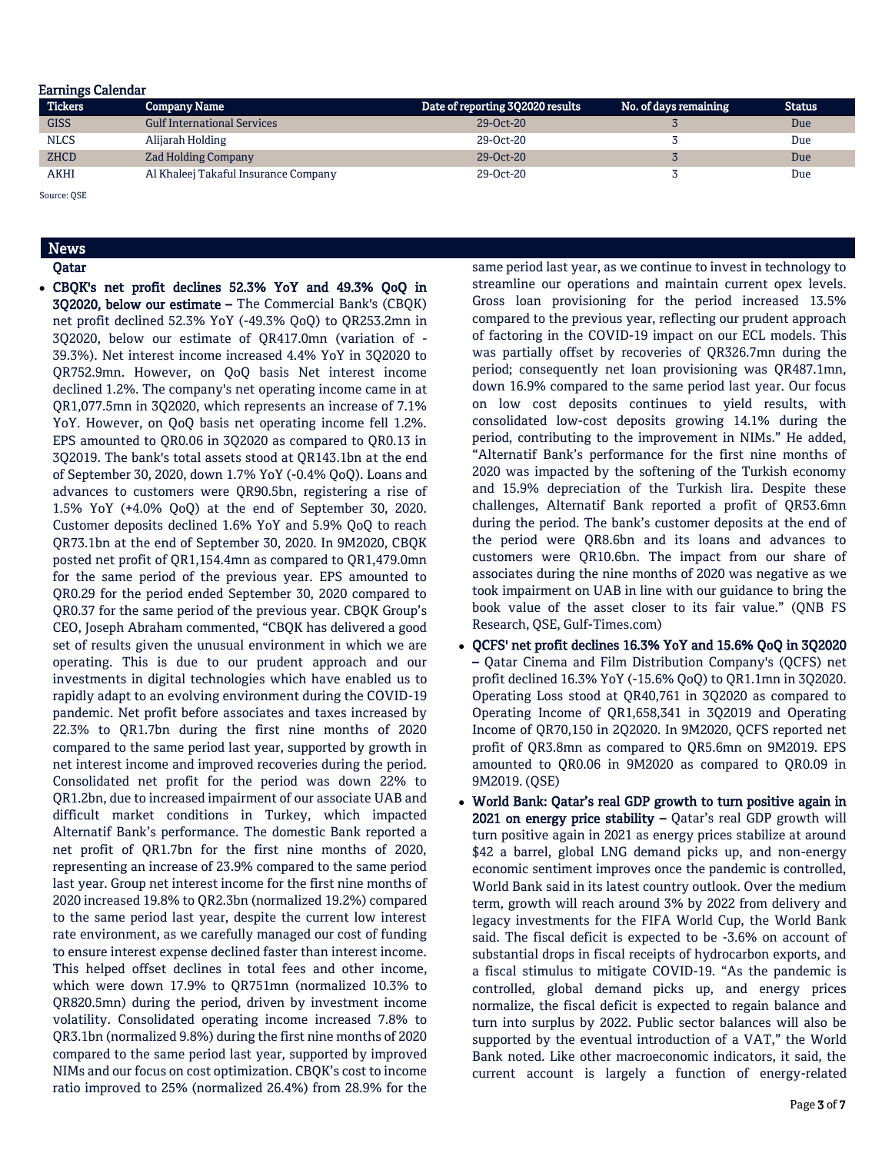## Earnings Calendar

| <b>Tickers</b> | <b>Company Name</b>                  | Date of reporting 302020 results | No. of days remaining | <b>Status</b> |
|----------------|--------------------------------------|----------------------------------|-----------------------|---------------|
| <b>GISS</b>    | <b>Gulf International Services</b>   | $29-0ct-20$                      |                       | Due           |
| <b>NLCS</b>    | Alijarah Holding                     | 29-Oct-20                        |                       | Due           |
| <b>ZHCD</b>    | <b>Zad Holding Company</b>           | $29-0ct-20$                      |                       | Due           |
| <b>AKHI</b>    | Al Khaleej Takaful Insurance Company | 29-Oct-20                        |                       | Due           |

Source: QSE

# News

Qatar

 CBQK's net profit declines 52.3% YoY and 49.3% QoQ in 3Q2020, below our estimate – The Commercial Bank's (CBQK) net profit declined 52.3% YoY (-49.3% QoQ) to QR253.2mn in 3Q2020, below our estimate of QR417.0mn (variation of - 39.3%). Net interest income increased 4.4% YoY in 3Q2020 to QR752.9mn. However, on QoQ basis Net interest income declined 1.2%. The company's net operating income came in at QR1,077.5mn in 3Q2020, which represents an increase of 7.1% YoY. However, on QoQ basis net operating income fell 1.2%. EPS amounted to QR0.06 in 3Q2020 as compared to QR0.13 in 3Q2019. The bank's total assets stood at QR143.1bn at the end of September 30, 2020, down 1.7% YoY (-0.4% QoQ). Loans and advances to customers were QR90.5bn, registering a rise of 1.5% YoY (+4.0% QoQ) at the end of September 30, 2020. Customer deposits declined 1.6% YoY and 5.9% QoQ to reach QR73.1bn at the end of September 30, 2020. In 9M2020, CBQK posted net profit of QR1,154.4mn as compared to QR1,479.0mn for the same period of the previous year. EPS amounted to QR0.29 for the period ended September 30, 2020 compared to QR0.37 for the same period of the previous year. CBQK Group's CEO, Joseph Abraham commented, "CBQK has delivered a good set of results given the unusual environment in which we are operating. This is due to our prudent approach and our investments in digital technologies which have enabled us to rapidly adapt to an evolving environment during the COVID-19 pandemic. Net profit before associates and taxes increased by 22.3% to QR1.7bn during the first nine months of 2020 compared to the same period last year, supported by growth in net interest income and improved recoveries during the period. Consolidated net profit for the period was down 22% to QR1.2bn, due to increased impairment of our associate UAB and difficult market conditions in Turkey, which impacted Alternatif Bank's performance. The domestic Bank reported a net profit of QR1.7bn for the first nine months of 2020, representing an increase of 23.9% compared to the same period last year. Group net interest income for the first nine months of 2020 increased 19.8% to QR2.3bn (normalized 19.2%) compared to the same period last year, despite the current low interest rate environment, as we carefully managed our cost of funding to ensure interest expense declined faster than interest income. This helped offset declines in total fees and other income, which were down 17.9% to QR751mn (normalized 10.3% to QR820.5mn) during the period, driven by investment income volatility. Consolidated operating income increased 7.8% to QR3.1bn (normalized 9.8%) during the first nine months of 2020 compared to the same period last year, supported by improved NIMs and our focus on cost optimization. CBQK's cost to income ratio improved to 25% (normalized 26.4%) from 28.9% for the

same period last year, as we continue to invest in technology to streamline our operations and maintain current opex levels. Gross loan provisioning for the period increased 13.5% compared to the previous year, reflecting our prudent approach of factoring in the COVID-19 impact on our ECL models. This was partially offset by recoveries of QR326.7mn during the period; consequently net loan provisioning was QR487.1mn, down 16.9% compared to the same period last year. Our focus on low cost deposits continues to yield results, with consolidated low-cost deposits growing 14.1% during the period, contributing to the improvement in NIMs." He added, "Alternatif Bank's performance for the first nine months of 2020 was impacted by the softening of the Turkish economy and 15.9% depreciation of the Turkish lira. Despite these challenges, Alternatif Bank reported a profit of QR53.6mn during the period. The bank's customer deposits at the end of the period were QR8.6bn and its loans and advances to customers were QR10.6bn. The impact from our share of associates during the nine months of 2020 was negative as we took impairment on UAB in line with our guidance to bring the book value of the asset closer to its fair value." (QNB FS Research, QSE, Gulf-Times.com)

- QCFS' net profit declines 16.3% YoY and 15.6% QoQ in 3Q2020 – Qatar Cinema and Film Distribution Company's (QCFS) net profit declined 16.3% YoY (-15.6% QoQ) to QR1.1mn in 3Q2020. Operating Loss stood at QR40,761 in 3Q2020 as compared to Operating Income of QR1,658,341 in 3Q2019 and Operating Income of QR70,150 in 2Q2020. In 9M2020, QCFS reported net profit of QR3.8mn as compared to QR5.6mn on 9M2019. EPS amounted to QR0.06 in 9M2020 as compared to QR0.09 in 9M2019. (QSE)
- World Bank: Qatar's real GDP growth to turn positive again in 2021 on energy price stability - Qatar's real GDP growth will turn positive again in 2021 as energy prices stabilize at around \$42 a barrel, global LNG demand picks up, and non-energy economic sentiment improves once the pandemic is controlled, World Bank said in its latest country outlook. Over the medium term, growth will reach around 3% by 2022 from delivery and legacy investments for the FIFA World Cup, the World Bank said. The fiscal deficit is expected to be -3.6% on account of substantial drops in fiscal receipts of hydrocarbon exports, and a fiscal stimulus to mitigate COVID-19. "As the pandemic is controlled, global demand picks up, and energy prices normalize, the fiscal deficit is expected to regain balance and turn into surplus by 2022. Public sector balances will also be supported by the eventual introduction of a VAT," the World Bank noted. Like other macroeconomic indicators, it said, the current account is largely a function of energy-related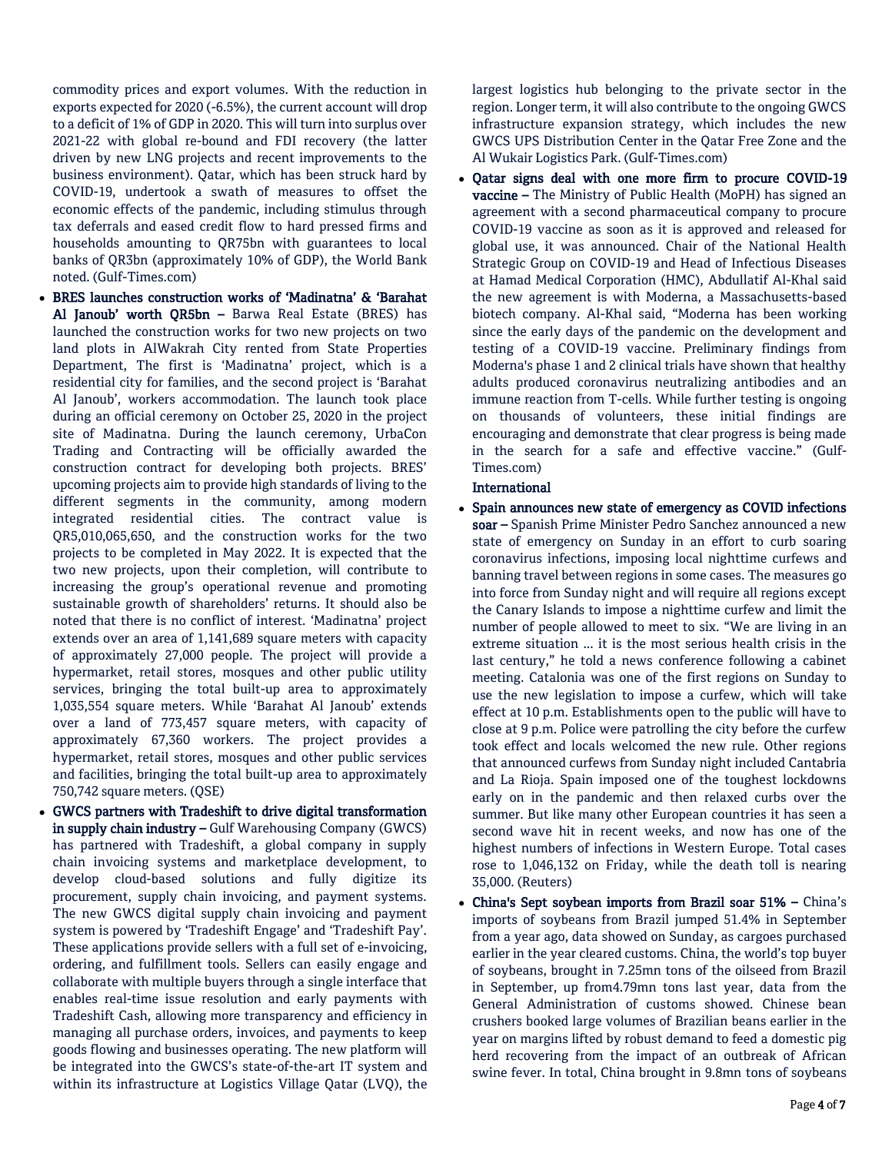commodity prices and export volumes. With the reduction in exports expected for 2020 (-6.5%), the current account will drop to a deficit of 1% of GDP in 2020. This will turn into surplus over 2021-22 with global re-bound and FDI recovery (the latter driven by new LNG projects and recent improvements to the business environment). Qatar, which has been struck hard by COVID-19, undertook a swath of measures to offset the economic effects of the pandemic, including stimulus through tax deferrals and eased credit flow to hard pressed firms and households amounting to QR75bn with guarantees to local banks of QR3bn (approximately 10% of GDP), the World Bank noted. (Gulf-Times.com)

- BRES launches construction works of 'Madinatna' & 'Barahat Al Janoub' worth QR5bn – Barwa Real Estate (BRES) has launched the construction works for two new projects on two land plots in AlWakrah City rented from State Properties Department, The first is 'Madinatna' project, which is a residential city for families, and the second project is 'Barahat Al Janoub', workers accommodation. The launch took place during an official ceremony on October 25, 2020 in the project site of Madinatna. During the launch ceremony, UrbaCon Trading and Contracting will be officially awarded the construction contract for developing both projects. BRES' upcoming projects aim to provide high standards of living to the different segments in the community, among modern integrated residential cities. The contract value is QR5,010,065,650, and the construction works for the two projects to be completed in May 2022. It is expected that the two new projects, upon their completion, will contribute to increasing the group's operational revenue and promoting sustainable growth of shareholders' returns. It should also be noted that there is no conflict of interest. 'Madinatna' project extends over an area of 1,141,689 square meters with capacity of approximately 27,000 people. The project will provide a hypermarket, retail stores, mosques and other public utility services, bringing the total built-up area to approximately 1,035,554 square meters. While 'Barahat Al Janoub' extends over a land of 773,457 square meters, with capacity of approximately 67,360 workers. The project provides a hypermarket, retail stores, mosques and other public services and facilities, bringing the total built-up area to approximately 750,742 square meters. (QSE)
- GWCS partners with Tradeshift to drive digital transformation in supply chain industry – Gulf Warehousing Company (GWCS) has partnered with Tradeshift, a global company in supply chain invoicing systems and marketplace development, to develop cloud-based solutions and fully digitize its procurement, supply chain invoicing, and payment systems. The new GWCS digital supply chain invoicing and payment system is powered by 'Tradeshift Engage' and 'Tradeshift Pay'. These applications provide sellers with a full set of e-invoicing, ordering, and fulfillment tools. Sellers can easily engage and collaborate with multiple buyers through a single interface that enables real-time issue resolution and early payments with Tradeshift Cash, allowing more transparency and efficiency in managing all purchase orders, invoices, and payments to keep goods flowing and businesses operating. The new platform will be integrated into the GWCS's state-of-the-art IT system and within its infrastructure at Logistics Village Qatar (LVQ), the

largest logistics hub belonging to the private sector in the region. Longer term, it will also contribute to the ongoing GWCS infrastructure expansion strategy, which includes the new GWCS UPS Distribution Center in the Qatar Free Zone and the Al Wukair Logistics Park. (Gulf-Times.com)

 Qatar signs deal with one more firm to procure COVID-19 vaccine – The Ministry of Public Health (MoPH) has signed an agreement with a second pharmaceutical company to procure COVID-19 vaccine as soon as it is approved and released for global use, it was announced. Chair of the National Health Strategic Group on COVID-19 and Head of Infectious Diseases at Hamad Medical Corporation (HMC), Abdullatif Al-Khal said the new agreement is with Moderna, a Massachusetts-based biotech company. Al-Khal said, "Moderna has been working since the early days of the pandemic on the development and testing of a COVID-19 vaccine. Preliminary findings from Moderna's phase 1 and 2 clinical trials have shown that healthy adults produced coronavirus neutralizing antibodies and an immune reaction from T-cells. While further testing is ongoing on thousands of volunteers, these initial findings are encouraging and demonstrate that clear progress is being made in the search for a safe and effective vaccine." (Gulf-Times.com)

# **International**

- Spain announces new state of emergency as COVID infections soar – Spanish Prime Minister Pedro Sanchez announced a new state of emergency on Sunday in an effort to curb soaring coronavirus infections, imposing local nighttime curfews and banning travel between regions in some cases. The measures go into force from Sunday night and will require all regions except the Canary Islands to impose a nighttime curfew and limit the number of people allowed to meet to six. "We are living in an extreme situation ... it is the most serious health crisis in the last century," he told a news conference following a cabinet meeting. Catalonia was one of the first regions on Sunday to use the new legislation to impose a curfew, which will take effect at 10 p.m. Establishments open to the public will have to close at 9 p.m. Police were patrolling the city before the curfew took effect and locals welcomed the new rule. Other regions that announced curfews from Sunday night included Cantabria and La Rioja. Spain imposed one of the toughest lockdowns early on in the pandemic and then relaxed curbs over the summer. But like many other European countries it has seen a second wave hit in recent weeks, and now has one of the highest numbers of infections in Western Europe. Total cases rose to 1,046,132 on Friday, while the death toll is nearing 35,000. (Reuters)
- China's Sept soybean imports from Brazil soar 51% China's imports of soybeans from Brazil jumped 51.4% in September from a year ago, data showed on Sunday, as cargoes purchased earlier in the year cleared customs. China, the world's top buyer of soybeans, brought in 7.25mn tons of the oilseed from Brazil in September, up from4.79mn tons last year, data from the General Administration of customs showed. Chinese bean crushers booked large volumes of Brazilian beans earlier in the year on margins lifted by robust demand to feed a domestic pig herd recovering from the impact of an outbreak of African swine fever. In total, China brought in 9.8mn tons of soybeans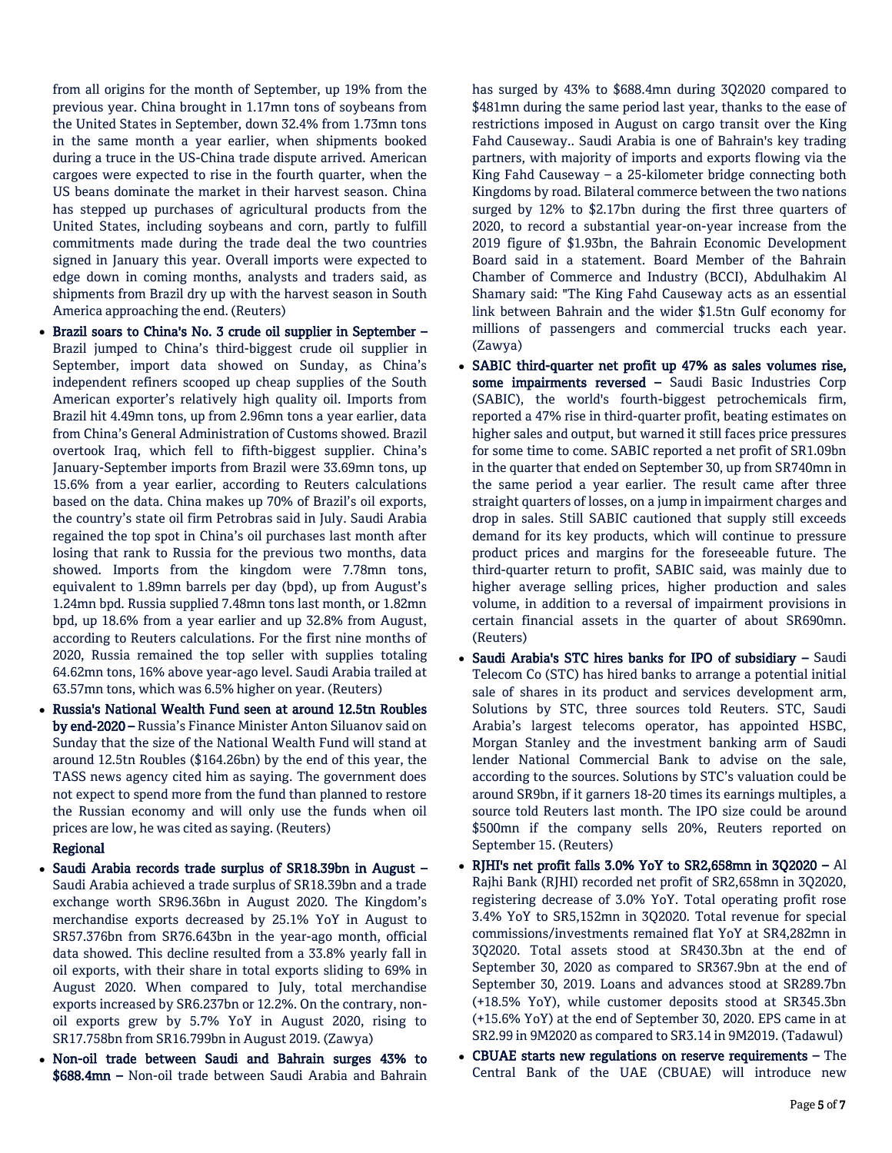from all origins for the month of September, up 19% from the previous year. China brought in 1.17mn tons of soybeans from the United States in September, down 32.4% from 1.73mn tons in the same month a year earlier, when shipments booked during a truce in the US-China trade dispute arrived. American cargoes were expected to rise in the fourth quarter, when the US beans dominate the market in their harvest season. China has stepped up purchases of agricultural products from the United States, including soybeans and corn, partly to fulfill commitments made during the trade deal the two countries signed in January this year. Overall imports were expected to edge down in coming months, analysts and traders said, as shipments from Brazil dry up with the harvest season in South America approaching the end. (Reuters)

- Brazil soars to China's No. 3 crude oil supplier in September Brazil jumped to China's third-biggest crude oil supplier in September, import data showed on Sunday, as China's independent refiners scooped up cheap supplies of the South American exporter's relatively high quality oil. Imports from Brazil hit 4.49mn tons, up from 2.96mn tons a year earlier, data from China's General Administration of Customs showed. Brazil overtook Iraq, which fell to fifth-biggest supplier. China's January-September imports from Brazil were 33.69mn tons, up 15.6% from a year earlier, according to Reuters calculations based on the data. China makes up 70% of Brazil's oil exports, the country's state oil firm Petrobras said in July. Saudi Arabia regained the top spot in China's oil purchases last month after losing that rank to Russia for the previous two months, data showed. Imports from the kingdom were 7.78mn tons, equivalent to 1.89mn barrels per day (bpd), up from August's 1.24mn bpd. Russia supplied 7.48mn tons last month, or 1.82mn bpd, up 18.6% from a year earlier and up 32.8% from August, according to Reuters calculations. For the first nine months of 2020, Russia remained the top seller with supplies totaling 64.62mn tons, 16% above year-ago level. Saudi Arabia trailed at 63.57mn tons, which was 6.5% higher on year. (Reuters)
- Russia's National Wealth Fund seen at around 12.5tn Roubles by end-2020 – Russia's Finance Minister Anton Siluanov said on Sunday that the size of the National Wealth Fund will stand at around 12.5tn Roubles (\$164.26bn) by the end of this year, the TASS news agency cited him as saying. The government does not expect to spend more from the fund than planned to restore the Russian economy and will only use the funds when oil prices are low, he was cited as saying. (Reuters)

# Regional

- Saudi Arabia records trade surplus of SR18.39bn in August Saudi Arabia achieved a trade surplus of SR18.39bn and a trade exchange worth SR96.36bn in August 2020. The Kingdom's merchandise exports decreased by 25.1% YoY in August to SR57.376bn from SR76.643bn in the year-ago month, official data showed. This decline resulted from a 33.8% yearly fall in oil exports, with their share in total exports sliding to 69% in August 2020. When compared to July, total merchandise exports increased by SR6.237bn or 12.2%. On the contrary, nonoil exports grew by 5.7% YoY in August 2020, rising to SR17.758bn from SR16.799bn in August 2019. (Zawya)
- Non-oil trade between Saudi and Bahrain surges 43% to \$688.4mn – Non-oil trade between Saudi Arabia and Bahrain

has surged by 43% to \$688.4mn during 3Q2020 compared to \$481mn during the same period last year, thanks to the ease of restrictions imposed in August on cargo transit over the King Fahd Causeway.. Saudi Arabia is one of Bahrain's key trading partners, with majority of imports and exports flowing via the King Fahd Causeway – a 25-kilometer bridge connecting both Kingdoms by road. Bilateral commerce between the two nations surged by 12% to \$2.17bn during the first three quarters of 2020, to record a substantial year-on-year increase from the 2019 figure of \$1.93bn, the Bahrain Economic Development Board said in a statement. Board Member of the Bahrain Chamber of Commerce and Industry (BCCI), Abdulhakim Al Shamary said: "The King Fahd Causeway acts as an essential link between Bahrain and the wider \$1.5tn Gulf economy for millions of passengers and commercial trucks each year. (Zawya)

- SABIC third-quarter net profit up 47% as sales volumes rise, some impairments reversed - Saudi Basic Industries Corp (SABIC), the world's fourth-biggest petrochemicals firm, reported a 47% rise in third-quarter profit, beating estimates on higher sales and output, but warned it still faces price pressures for some time to come. SABIC reported a net profit of SR1.09bn in the quarter that ended on September 30, up from SR740mn in the same period a year earlier. The result came after three straight quarters of losses, on a jump in impairment charges and drop in sales. Still SABIC cautioned that supply still exceeds demand for its key products, which will continue to pressure product prices and margins for the foreseeable future. The third-quarter return to profit, SABIC said, was mainly due to higher average selling prices, higher production and sales volume, in addition to a reversal of impairment provisions in certain financial assets in the quarter of about SR690mn. (Reuters)
- Saudi Arabia's STC hires banks for IPO of subsidiary Saudi Telecom Co (STC) has hired banks to arrange a potential initial sale of shares in its product and services development arm, Solutions by STC, three sources told Reuters. STC, Saudi Arabia's largest telecoms operator, has appointed HSBC, Morgan Stanley and the investment banking arm of Saudi lender National Commercial Bank to advise on the sale, according to the sources. Solutions by STC's valuation could be around SR9bn, if it garners 18-20 times its earnings multiples, a source told Reuters last month. The IPO size could be around \$500mn if the company sells 20%, Reuters reported on September 15. (Reuters)
- RJHI's net profit falls 3.0% YoY to SR2,658mn in 3Q2020 Al Rajhi Bank (RJHI) recorded net profit of SR2,658mn in 3Q2020, registering decrease of 3.0% YoY. Total operating profit rose 3.4% YoY to SR5,152mn in 3Q2020. Total revenue for special commissions/investments remained flat YoY at SR4,282mn in 3Q2020. Total assets stood at SR430.3bn at the end of September 30, 2020 as compared to SR367.9bn at the end of September 30, 2019. Loans and advances stood at SR289.7bn (+18.5% YoY), while customer deposits stood at SR345.3bn (+15.6% YoY) at the end of September 30, 2020. EPS came in at SR2.99 in 9M2020 as compared to SR3.14 in 9M2019. (Tadawul)
- CBUAE starts new regulations on reserve requirements The Central Bank of the UAE (CBUAE) will introduce new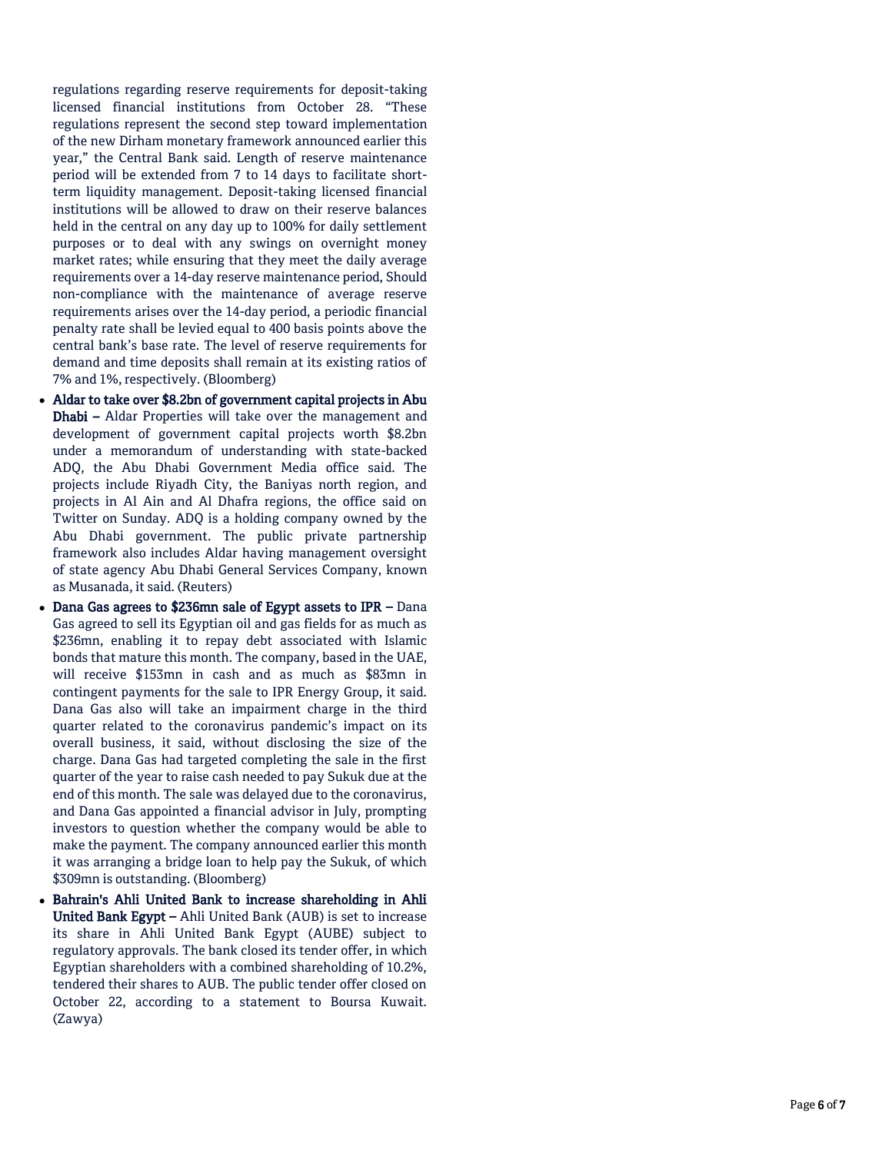regulations regarding reserve requirements for deposit -taking licensed financial institutions from October 28. "These regulations represent the second step toward implementation of the new Dirham monetary framework announced earlier this year," the Central Bank said. Length of reserve maintenance period will be extended from 7 to 14 days to facilitate short term liquidity management. Deposit -taking licensed financial institutions will be allowed to draw on their reserve balances held in the central on any day up to 100% for daily settlement purposes or to deal with any swings on overnight money market rates; while ensuring that they meet the daily average requirements over a 14 -day reserve maintenance period, Should non -compliance with the maintenance of average reserve requirements arises over the 14 -day period, a periodic financial penalty rate shall be levied equal to 400 basis points above the central bank's base rate. The level of reserve requirements for demand and time deposits shall remain at its existing ratios of 7% and 1%, respectively. (Bloomberg)

- Aldar to take over \$8.2bn of government capital projects in Abu Dhabi – Aldar Properties will take over the management and development of government capital projects worth \$8.2bn under a memorandum of understanding with state -backed ADQ, the Abu Dhabi Government Media office said. The projects include Riyadh City, the Baniyas north region, and projects in Al Ain and Al Dhafra regions, the office said on Twitter on Sunday. ADQ is a holding company owned by the Abu Dhabi government. The public private partnership framework also includes Aldar having management oversight of state agency Abu Dhabi General Services Company, known as Musanada, it said. (Reuters)
- Dana Gas agrees to \$236mn sale of Egypt assets to IPR Dana Gas agreed to sell its Egyptian oil and gas fields for as much as \$236mn, enabling it to repay debt associated with Islamic bonds that mature this month. The company, based in the UAE, will receive \$153mn in cash and as much as \$83mn in contingent payments for the sale to IPR Energy Group, it said. Dana Gas also will take an impairment charge in the third quarter related to the coronavirus pandemic's impact on its overall business, it said, without disclosing the size of the charge. Dana Gas had targeted completing the sale in the first quarter of the year to raise cash needed to pay Sukuk due at the end of this month. The sale was delayed due to the coronavirus, and Dana Gas appointed a financial advisor in July, prompting investors to question whether the company would be able to make the payment. The company announced earlier this month it was arranging a bridge loan to help pay the Sukuk, of which \$309mn is outstanding. (Bloomberg)
- Bahrain's Ahli United Bank to increase shareholding in Ahli United Bank Egypt – Ahli United Bank (AUB) is set to increase its share in Ahli United Bank Egypt (AUBE) subject to regulatory approvals. The bank closed its tender offer, in which Egyptian shareholders with a combined shareholding of 10.2%, tendered their shares to AUB. The public tender offer closed on October 22, according to a statement to Boursa Kuwait. (Zawya)